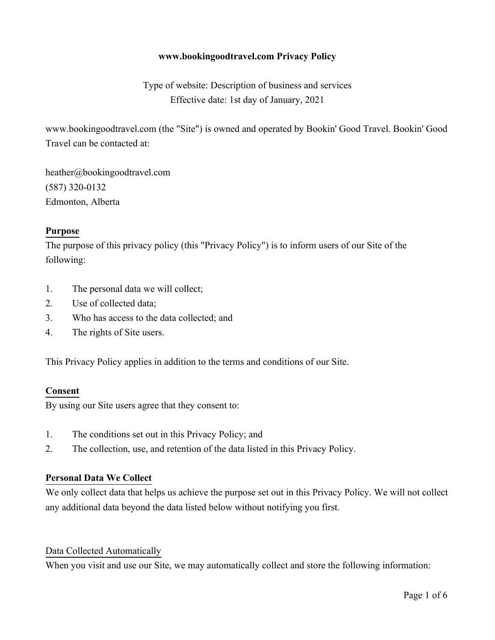## **www.bookingoodtravel.com Privacy Policy**

Type of website: Description of business and services Effective date: 1st day of January, 2021

www.bookingoodtravel.com (the "Site") is owned and operated by Bookin' Good Travel. Bookin' Good Travel can be contacted at:

heather@bookingoodtravel.com (587) 320-0132 Edmonton, Alberta

#### **Purpose**

The purpose of this privacy policy (this "Privacy Policy") is to inform users of our Site of the following:

- 1. The personal data we will collect;
- 2. Use of collected data;
- 3. Who has access to the data collected; and
- 4. The rights of Site users.

This Privacy Policy applies in addition to the terms and conditions of our Site.

#### **Consent**

By using our Site users agree that they consent to:

- 1. The conditions set out in this Privacy Policy; and
- 2. The collection, use, and retention of the data listed in this Privacy Policy.

#### **Personal Data We Collect**

We only collect data that helps us achieve the purpose set out in this Privacy Policy. We will not collect any additional data beyond the data listed below without notifying you first.

#### Data Collected Automatically

When you visit and use our Site, we may automatically collect and store the following information: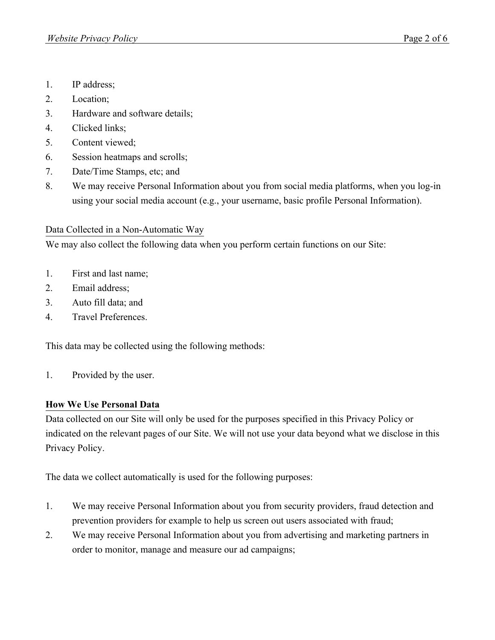- 1. IP address;
- 2. Location;
- 3. Hardware and software details;
- 4. Clicked links;
- 5. Content viewed;
- 6. Session heatmaps and scrolls;
- 7. Date/Time Stamps, etc; and
- 8. We may receive Personal Information about you from social media platforms, when you log-in using your social media account (e.g., your username, basic profile Personal Information).

# Data Collected in a Non-Automatic Way

We may also collect the following data when you perform certain functions on our Site:

- 1. First and last name;
- 2. Email address;
- 3. Auto fill data; and
- 4. Travel Preferences.

This data may be collected using the following methods:

1. Provided by the user.

## **How We Use Personal Data**

Data collected on our Site will only be used for the purposes specified in this Privacy Policy or indicated on the relevant pages of our Site. We will not use your data beyond what we disclose in this Privacy Policy.

The data we collect automatically is used for the following purposes:

- 1. We may receive Personal Information about you from security providers, fraud detection and prevention providers for example to help us screen out users associated with fraud;
- 2. We may receive Personal Information about you from advertising and marketing partners in order to monitor, manage and measure our ad campaigns;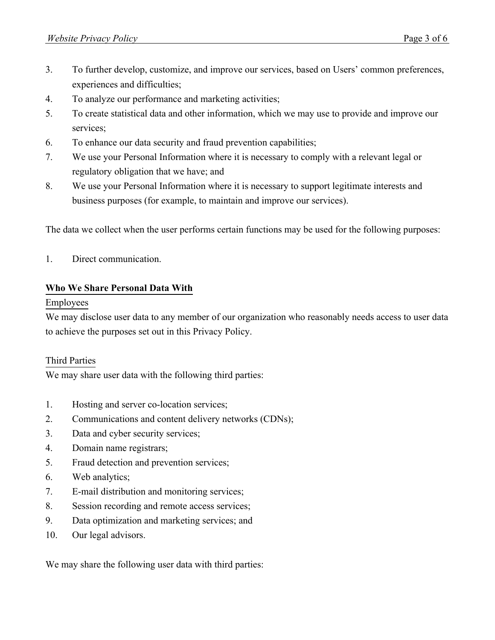- 3. To further develop, customize, and improve our services, based on Users' common preferences, experiences and difficulties;
- 4. To analyze our performance and marketing activities;
- 5. To create statistical data and other information, which we may use to provide and improve our services;
- 6. To enhance our data security and fraud prevention capabilities;
- 7. We use your Personal Information where it is necessary to comply with a relevant legal or regulatory obligation that we have; and
- 8. We use your Personal Information where it is necessary to support legitimate interests and business purposes (for example, to maintain and improve our services).

The data we collect when the user performs certain functions may be used for the following purposes:

1. Direct communication.

#### **Who We Share Personal Data With**

#### Employees

We may disclose user data to any member of our organization who reasonably needs access to user data to achieve the purposes set out in this Privacy Policy.

#### Third Parties

We may share user data with the following third parties:

- 1. Hosting and server co-location services;
- 2. Communications and content delivery networks (CDNs);
- 3. Data and cyber security services;
- 4. Domain name registrars;
- 5. Fraud detection and prevention services;
- 6. Web analytics;
- 7. E-mail distribution and monitoring services;
- 8. Session recording and remote access services;
- 9. Data optimization and marketing services; and
- 10. Our legal advisors.

We may share the following user data with third parties: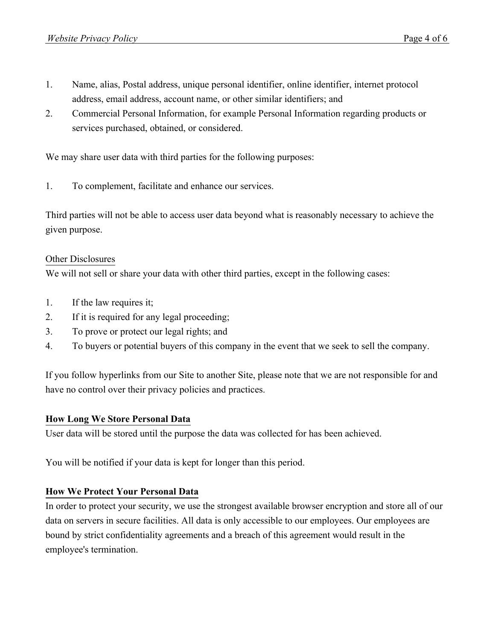- 1. Name, alias, Postal address, unique personal identifier, online identifier, internet protocol address, email address, account name, or other similar identifiers; and
- 2. Commercial Personal Information, for example Personal Information regarding products or services purchased, obtained, or considered.

We may share user data with third parties for the following purposes:

1. To complement, facilitate and enhance our services.

Third parties will not be able to access user data beyond what is reasonably necessary to achieve the given purpose.

## Other Disclosures

We will not sell or share your data with other third parties, except in the following cases:

- 1. If the law requires it;
- 2. If it is required for any legal proceeding;
- 3. To prove or protect our legal rights; and
- 4. To buyers or potential buyers of this company in the event that we seek to sell the company.

If you follow hyperlinks from our Site to another Site, please note that we are not responsible for and have no control over their privacy policies and practices.

## **How Long We Store Personal Data**

User data will be stored until the purpose the data was collected for has been achieved.

You will be notified if your data is kept for longer than this period.

## **How We Protect Your Personal Data**

In order to protect your security, we use the strongest available browser encryption and store all of our data on servers in secure facilities. All data is only accessible to our employees. Our employees are bound by strict confidentiality agreements and a breach of this agreement would result in the employee's termination.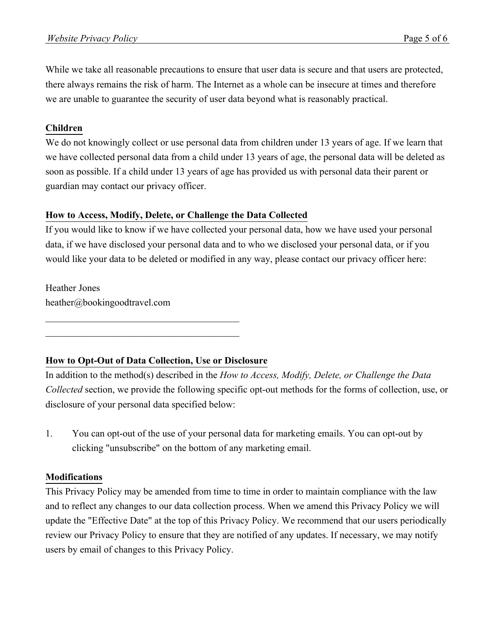While we take all reasonable precautions to ensure that user data is secure and that users are protected, there always remains the risk of harm. The Internet as a whole can be insecure at times and therefore we are unable to guarantee the security of user data beyond what is reasonably practical.

## **Children**

We do not knowingly collect or use personal data from children under 13 years of age. If we learn that we have collected personal data from a child under 13 years of age, the personal data will be deleted as soon as possible. If a child under 13 years of age has provided us with personal data their parent or guardian may contact our privacy officer.

## **How to Access, Modify, Delete, or Challenge the Data Collected**

If you would like to know if we have collected your personal data, how we have used your personal data, if we have disclosed your personal data and to who we disclosed your personal data, or if you would like your data to be deleted or modified in any way, please contact our privacy officer here:

Heather Jones heather@bookingoodtravel.com

# **How to Opt-Out of Data Collection, Use or Disclosure**

 $\mathcal{L}_\mathcal{L}$  , which is a set of the set of the set of the set of the set of the set of the set of the set of the set of the set of the set of the set of the set of the set of the set of the set of the set of the set of  $\mathcal{L}_\mathcal{L}$  , which is a set of the set of the set of the set of the set of the set of the set of the set of the set of the set of the set of the set of the set of the set of the set of the set of the set of the set of

In addition to the method(s) described in the *How to Access, Modify, Delete, or Challenge the Data Collected* section, we provide the following specific opt-out methods for the forms of collection, use, or disclosure of your personal data specified below:

1. You can opt-out of the use of your personal data for marketing emails. You can opt-out by clicking "unsubscribe" on the bottom of any marketing email.

## **Modifications**

This Privacy Policy may be amended from time to time in order to maintain compliance with the law and to reflect any changes to our data collection process. When we amend this Privacy Policy we will update the "Effective Date" at the top of this Privacy Policy. We recommend that our users periodically review our Privacy Policy to ensure that they are notified of any updates. If necessary, we may notify users by email of changes to this Privacy Policy.